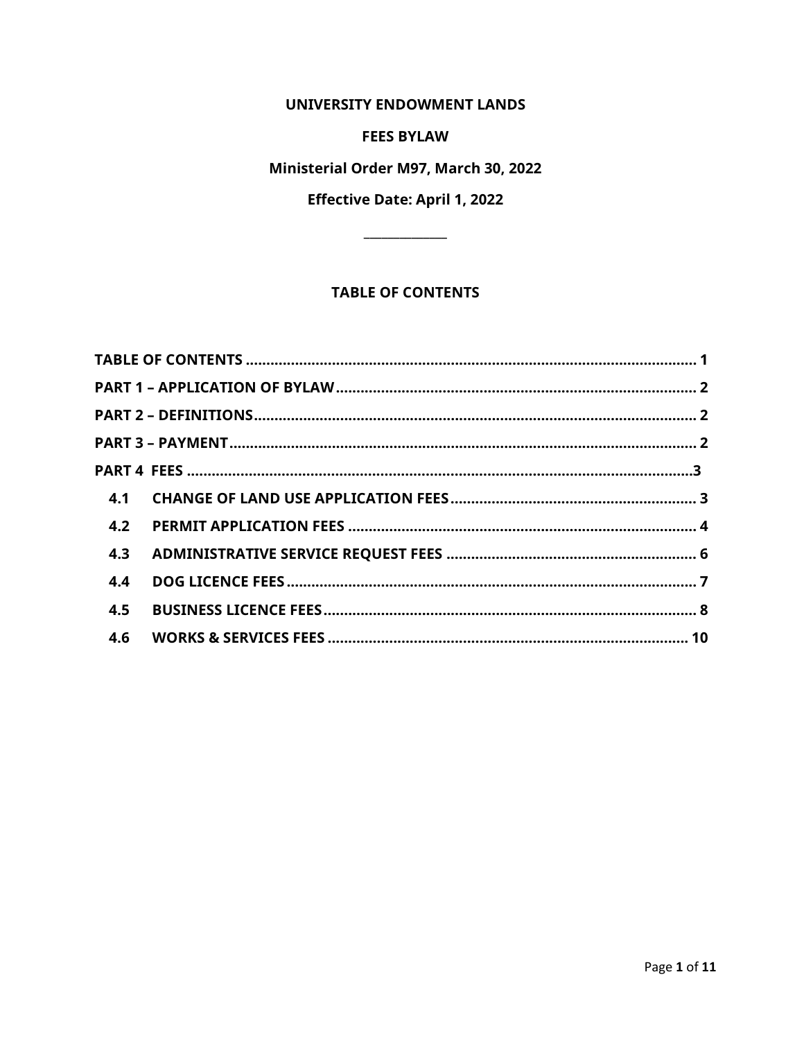UNIVERSITY ENDOWMENT LANDS

#### **FEES BYLAW**

## Ministerial Order M97, March 30, 2022

# **Effective Date: April 1, 2022**

# **TABLE OF CONTENTS**

<span id="page-0-0"></span>

| 4.2<br>4.3<br>4.4<br>4.5<br>4.6 |  |  |
|---------------------------------|--|--|
|                                 |  |  |
|                                 |  |  |
|                                 |  |  |
|                                 |  |  |
|                                 |  |  |
|                                 |  |  |
|                                 |  |  |
|                                 |  |  |
|                                 |  |  |
|                                 |  |  |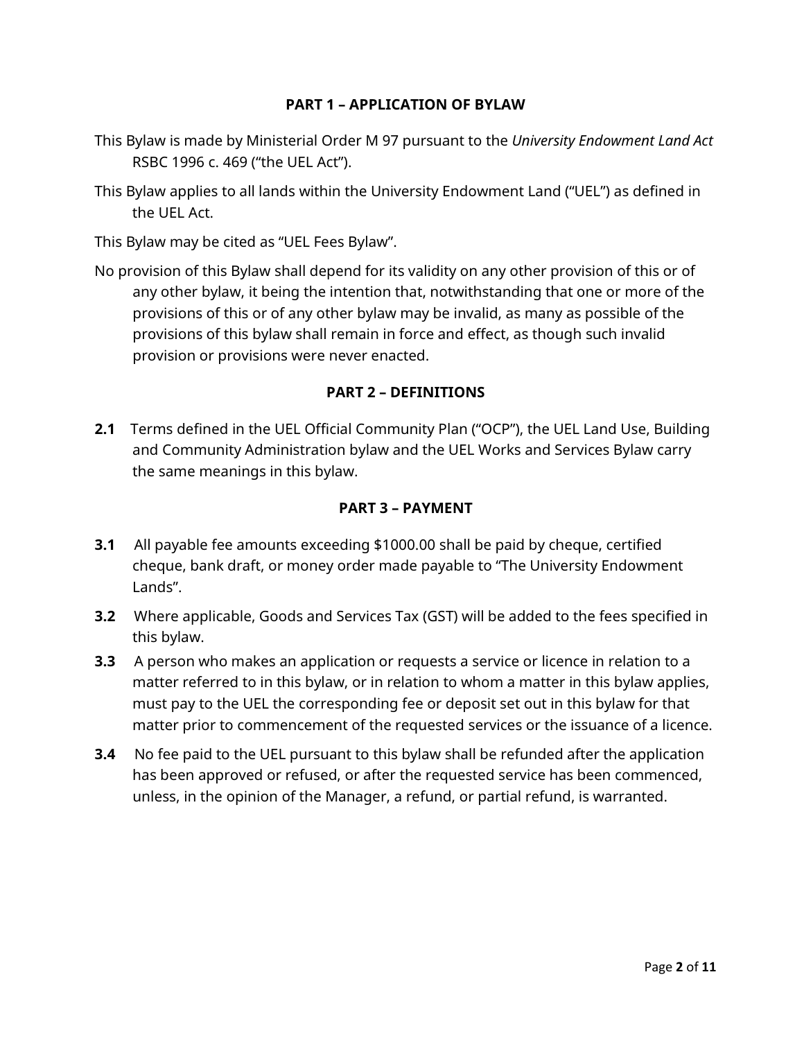### **PART 1 – APPLICATION OF BYLAW**

- <span id="page-1-0"></span>This Bylaw is made by Ministerial Order M 97 pursuant to the *University Endowment Land Act* RSBC 1996 c. 469 ("the UEL Act").
- This Bylaw applies to all lands within the University Endowment Land ("UEL") as defined in the UEL Act.

This Bylaw may be cited as "UEL Fees Bylaw".

No provision of this Bylaw shall depend for its validity on any other provision of this or of any other bylaw, it being the intention that, notwithstanding that one or more of the provisions of this or of any other bylaw may be invalid, as many as possible of the provisions of this bylaw shall remain in force and effect, as though such invalid provision or provisions were never enacted.

#### **PART 2 – DEFINITIONS**

<span id="page-1-1"></span>**2.1** Terms defined in the UEL Official Community Plan ("OCP"), the UEL Land Use, Building and Community Administration bylaw and the UEL Works and Services Bylaw carry the same meanings in this bylaw.

#### **PART 3 – PAYMENT**

- <span id="page-1-2"></span>**3.1** All payable fee amounts exceeding \$1000.00 shall be paid by cheque, certified cheque, bank draft, or money order made payable to "The University Endowment Lands".
- **3.2** Where applicable, Goods and Services Tax (GST) will be added to the fees specified in this bylaw.
- **3.3** A person who makes an application or requests a service or licence in relation to a matter referred to in this bylaw, or in relation to whom a matter in this bylaw applies, must pay to the UEL the corresponding fee or deposit set out in this bylaw for that matter prior to commencement of the requested services or the issuance of a licence.
- **3.4** No fee paid to the UEL pursuant to this bylaw shall be refunded after the application has been approved or refused, or after the requested service has been commenced, unless, in the opinion of the Manager, a refund, or partial refund, is warranted.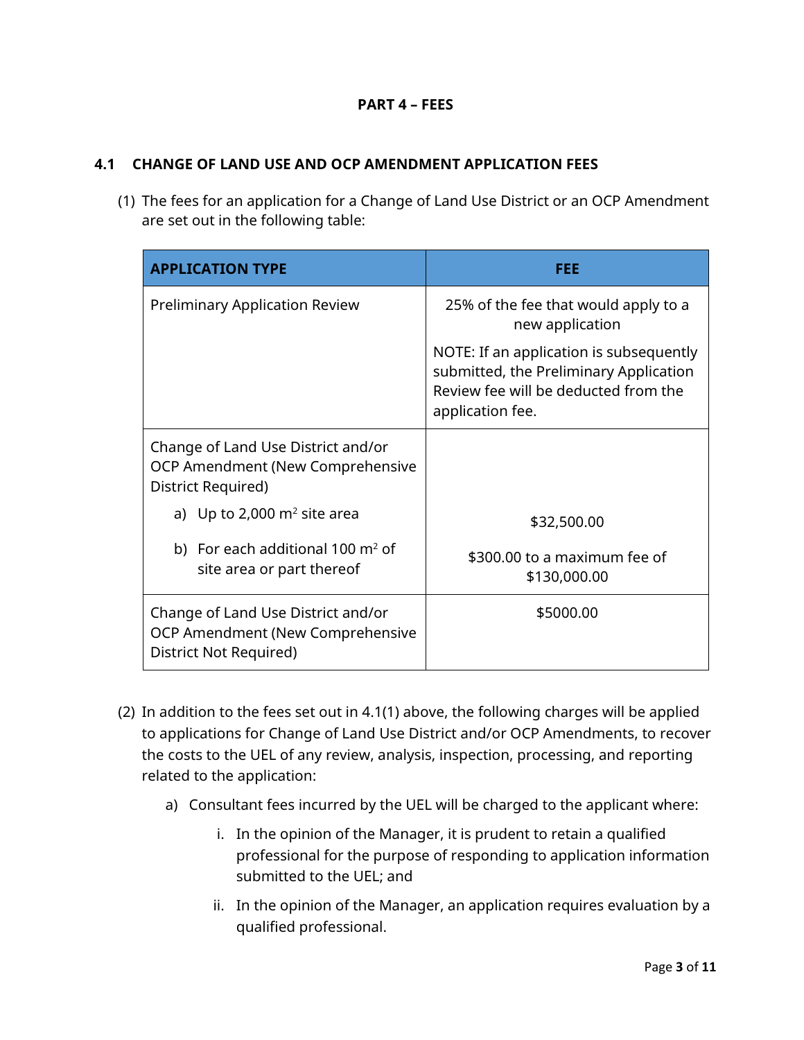### **PART 4 – FEES**

#### <span id="page-2-0"></span>**4.1 CHANGE OF LAND USE AND OCP AMENDMENT APPLICATION FEES**

(1) The fees for an application for a Change of Land Use District or an OCP Amendment are set out in the following table:

| <b>APPLICATION TYPE</b>                                                                          | FEE                                                                                                                                           |  |
|--------------------------------------------------------------------------------------------------|-----------------------------------------------------------------------------------------------------------------------------------------------|--|
| <b>Preliminary Application Review</b>                                                            | 25% of the fee that would apply to a<br>new application                                                                                       |  |
|                                                                                                  | NOTE: If an application is subsequently<br>submitted, the Preliminary Application<br>Review fee will be deducted from the<br>application fee. |  |
| Change of Land Use District and/or<br>OCP Amendment (New Comprehensive<br>District Required)     |                                                                                                                                               |  |
| a) Up to 2,000 $m^2$ site area                                                                   | \$32,500.00                                                                                                                                   |  |
| b) For each additional 100 $\mathrm{m}^2$ of<br>site area or part thereof                        | \$300.00 to a maximum fee of<br>\$130,000.00                                                                                                  |  |
| Change of Land Use District and/or<br>OCP Amendment (New Comprehensive<br>District Not Required) | \$5000.00                                                                                                                                     |  |

- (2) In addition to the fees set out in 4.1(1) above, the following charges will be applied to applications for Change of Land Use District and/or OCP Amendments, to recover the costs to the UEL of any review, analysis, inspection, processing, and reporting related to the application:
	- a) Consultant fees incurred by the UEL will be charged to the applicant where:
		- i. In the opinion of the Manager, it is prudent to retain a qualified professional for the purpose of responding to application information submitted to the UEL; and
		- ii. In the opinion of the Manager, an application requires evaluation by a qualified professional.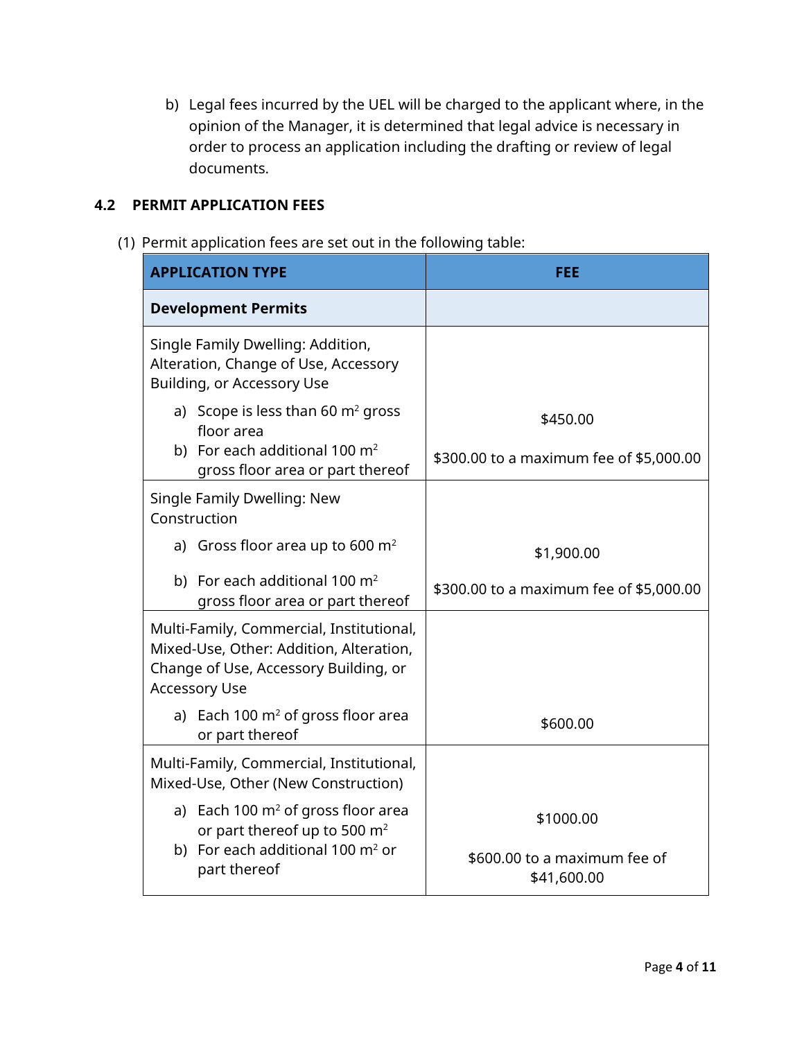b) Legal fees incurred by the UEL will be charged to the applicant where, in the opinion of the Manager, it is determined that legal advice is necessary in order to process an application including the drafting or review of legal documents.

#### <span id="page-3-0"></span>**4.2 PERMIT APPLICATION FEES**

(1) Permit application fees are set out in the following table:

| <b>APPLICATION TYPE</b>                                                                                                                              | FEE                                         |  |
|------------------------------------------------------------------------------------------------------------------------------------------------------|---------------------------------------------|--|
| <b>Development Permits</b>                                                                                                                           |                                             |  |
| Single Family Dwelling: Addition,<br>Alteration, Change of Use, Accessory<br>Building, or Accessory Use                                              |                                             |  |
| a) Scope is less than 60 $m2$ gross<br>floor area                                                                                                    | \$450.00                                    |  |
| b) For each additional 100 $m2$<br>gross floor area or part thereof                                                                                  | \$300.00 to a maximum fee of \$5,000.00     |  |
| Single Family Dwelling: New<br>Construction                                                                                                          |                                             |  |
| a) Gross floor area up to 600 $m2$                                                                                                                   | \$1,900.00                                  |  |
| b) For each additional 100 $m2$<br>gross floor area or part thereof                                                                                  | \$300.00 to a maximum fee of \$5,000.00     |  |
| Multi-Family, Commercial, Institutional,<br>Mixed-Use, Other: Addition, Alteration,<br>Change of Use, Accessory Building, or<br><b>Accessory Use</b> |                                             |  |
| a) Each 100 $m^2$ of gross floor area<br>or part thereof                                                                                             | \$600.00                                    |  |
| Multi-Family, Commercial, Institutional,<br>Mixed-Use, Other (New Construction)                                                                      |                                             |  |
| a) Each 100 $m2$ of gross floor area<br>or part thereof up to 500 m <sup>2</sup>                                                                     | \$1000.00                                   |  |
| b) For each additional 100 $m2$ or<br>part thereof                                                                                                   | \$600.00 to a maximum fee of<br>\$41,600.00 |  |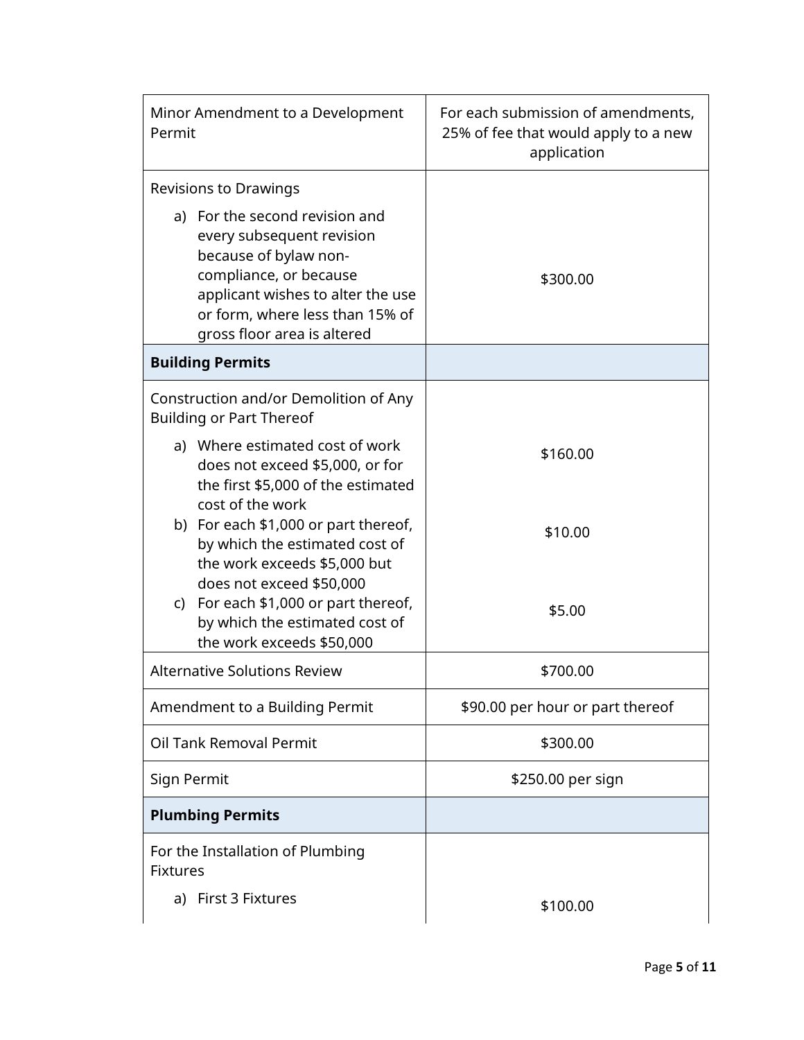| Minor Amendment to a Development<br>Permit                                                                                                                                                                            | For each submission of amendments,<br>25% of fee that would apply to a new<br>application |  |
|-----------------------------------------------------------------------------------------------------------------------------------------------------------------------------------------------------------------------|-------------------------------------------------------------------------------------------|--|
| Revisions to Drawings                                                                                                                                                                                                 |                                                                                           |  |
| a) For the second revision and<br>every subsequent revision<br>because of bylaw non-<br>compliance, or because<br>applicant wishes to alter the use<br>or form, where less than 15% of<br>gross floor area is altered | \$300.00                                                                                  |  |
| <b>Building Permits</b>                                                                                                                                                                                               |                                                                                           |  |
| Construction and/or Demolition of Any<br><b>Building or Part Thereof</b>                                                                                                                                              |                                                                                           |  |
| a) Where estimated cost of work<br>does not exceed \$5,000, or for<br>the first \$5,000 of the estimated<br>cost of the work                                                                                          | \$160.00                                                                                  |  |
| b) For each \$1,000 or part thereof,<br>by which the estimated cost of<br>the work exceeds \$5,000 but                                                                                                                | \$10.00                                                                                   |  |
| does not exceed \$50,000<br>For each \$1,000 or part thereof,<br>C)<br>by which the estimated cost of<br>the work exceeds \$50,000                                                                                    | \$5.00                                                                                    |  |
| <b>Alternative Solutions Review</b>                                                                                                                                                                                   | \$700.00                                                                                  |  |
| Amendment to a Building Permit                                                                                                                                                                                        | \$90.00 per hour or part thereof                                                          |  |
| Oil Tank Removal Permit                                                                                                                                                                                               | \$300.00                                                                                  |  |
| Sign Permit                                                                                                                                                                                                           | \$250.00 per sign                                                                         |  |
| <b>Plumbing Permits</b>                                                                                                                                                                                               |                                                                                           |  |
| For the Installation of Plumbing<br><b>Fixtures</b>                                                                                                                                                                   |                                                                                           |  |
| First 3 Fixtures<br>a)                                                                                                                                                                                                | \$100.00                                                                                  |  |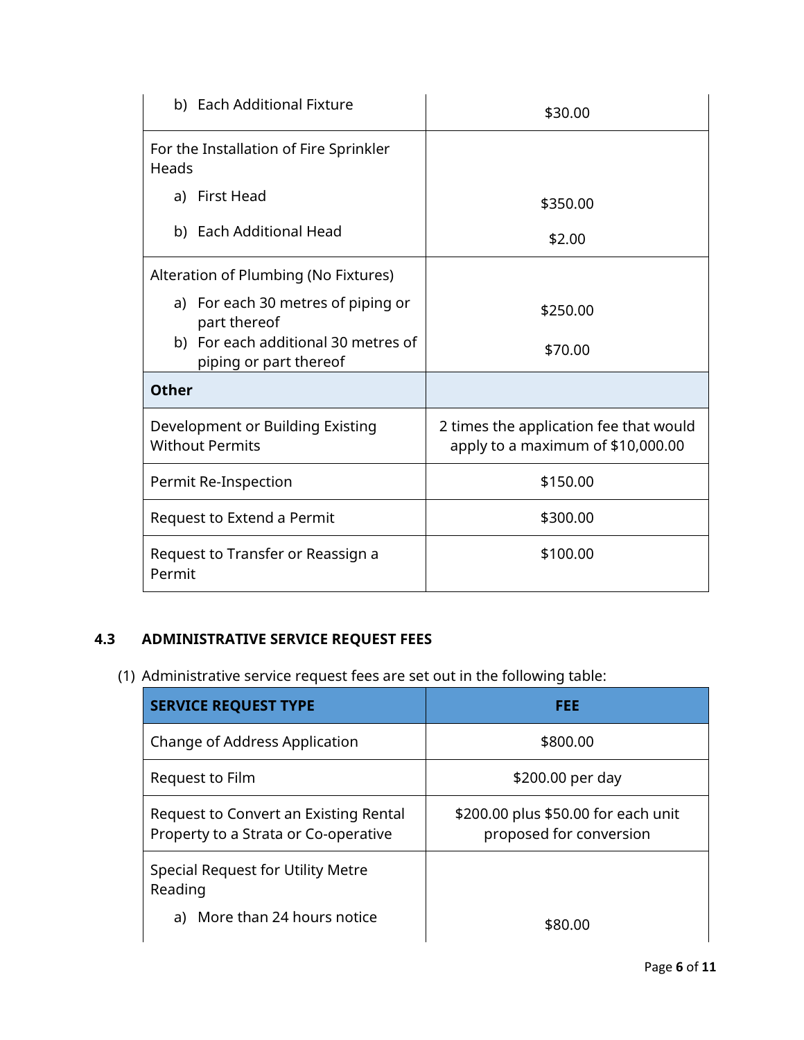| b) Each Additional Fixture                                    | \$30.00                                                                     |  |
|---------------------------------------------------------------|-----------------------------------------------------------------------------|--|
| For the Installation of Fire Sprinkler<br>Heads               |                                                                             |  |
| a) First Head                                                 | \$350.00                                                                    |  |
| b) Each Additional Head                                       | \$2.00                                                                      |  |
| Alteration of Plumbing (No Fixtures)                          |                                                                             |  |
| a) For each 30 metres of piping or<br>part thereof            | \$250.00                                                                    |  |
| b) For each additional 30 metres of<br>piping or part thereof | \$70.00                                                                     |  |
| <b>Other</b>                                                  |                                                                             |  |
| Development or Building Existing<br><b>Without Permits</b>    | 2 times the application fee that would<br>apply to a maximum of \$10,000.00 |  |
| Permit Re-Inspection                                          | \$150.00                                                                    |  |
| Request to Extend a Permit                                    | \$300.00                                                                    |  |
| Request to Transfer or Reassign a<br>Permit                   | \$100.00                                                                    |  |

# <span id="page-5-0"></span>**4.3 ADMINISTRATIVE SERVICE REQUEST FEES**

(1) Administrative service request fees are set out in the following table:

| <b>SERVICE REQUEST TYPE</b>                                                   | FEE                                                            |
|-------------------------------------------------------------------------------|----------------------------------------------------------------|
| Change of Address Application                                                 | \$800.00                                                       |
| Request to Film                                                               | \$200.00 per day                                               |
| Request to Convert an Existing Rental<br>Property to a Strata or Co-operative | \$200.00 plus \$50.00 for each unit<br>proposed for conversion |
| Special Request for Utility Metre<br>Reading                                  |                                                                |
| a) More than 24 hours notice                                                  | \$80.00                                                        |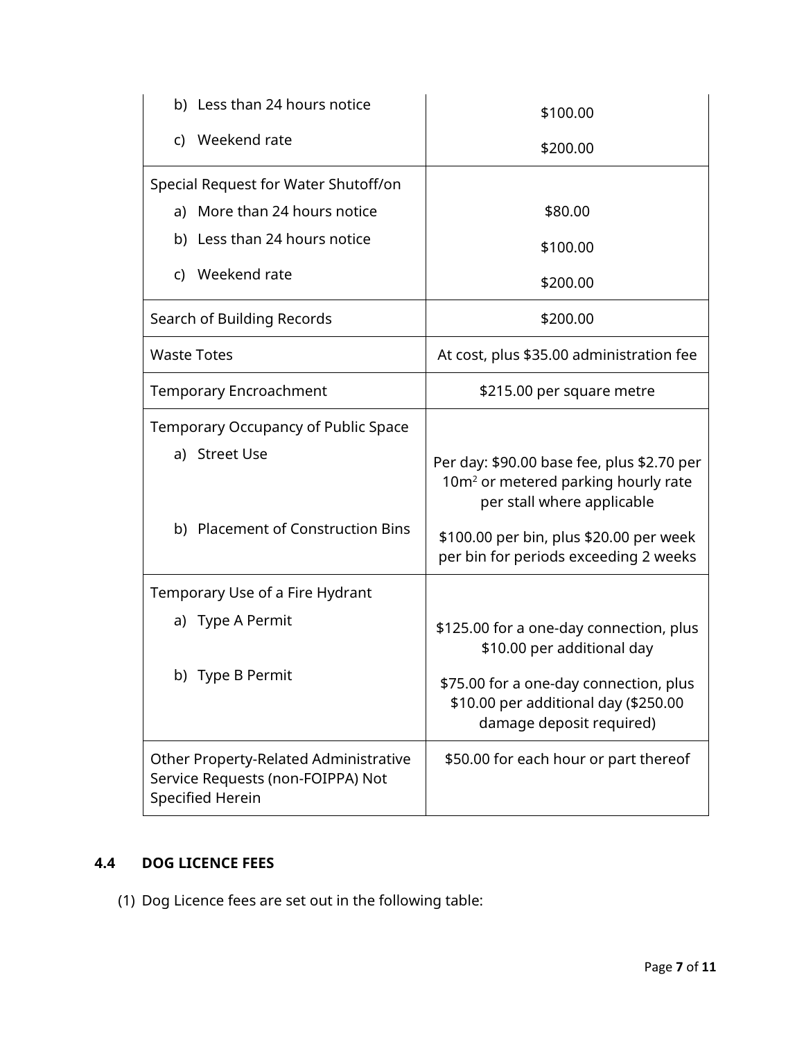| b) Less than 24 hours notice                                                                   | \$100.00                                                                                                                    |
|------------------------------------------------------------------------------------------------|-----------------------------------------------------------------------------------------------------------------------------|
| c) Weekend rate                                                                                | \$200.00                                                                                                                    |
| Special Request for Water Shutoff/on                                                           |                                                                                                                             |
| a) More than 24 hours notice                                                                   | \$80.00                                                                                                                     |
| b) Less than 24 hours notice                                                                   | \$100.00                                                                                                                    |
| c) Weekend rate                                                                                | \$200.00                                                                                                                    |
| Search of Building Records                                                                     | \$200.00                                                                                                                    |
| <b>Waste Totes</b>                                                                             | At cost, plus \$35.00 administration fee                                                                                    |
| <b>Temporary Encroachment</b>                                                                  | \$215.00 per square metre                                                                                                   |
| Temporary Occupancy of Public Space                                                            |                                                                                                                             |
| a) Street Use                                                                                  | Per day: \$90.00 base fee, plus \$2.70 per<br>10m <sup>2</sup> or metered parking hourly rate<br>per stall where applicable |
| b) Placement of Construction Bins                                                              | \$100.00 per bin, plus \$20.00 per week<br>per bin for periods exceeding 2 weeks                                            |
| Temporary Use of a Fire Hydrant                                                                |                                                                                                                             |
| a) Type A Permit                                                                               | \$125.00 for a one-day connection, plus<br>\$10.00 per additional day                                                       |
| b) Type B Permit                                                                               | \$75.00 for a one-day connection, plus<br>\$10.00 per additional day (\$250.00<br>damage deposit required)                  |
| Other Property-Related Administrative<br>Service Requests (non-FOIPPA) Not<br>Specified Herein | \$50.00 for each hour or part thereof                                                                                       |

# <span id="page-6-0"></span>**4.4 DOG LICENCE FEES**

(1) Dog Licence fees are set out in the following table: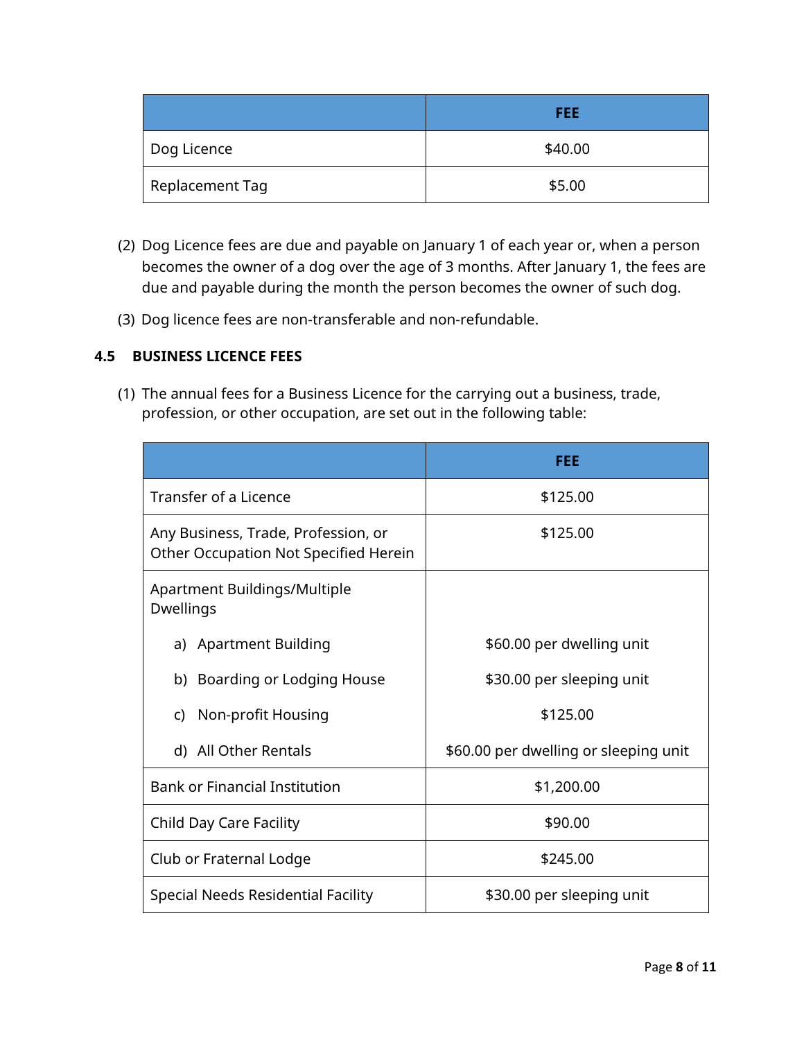|                 | <b>FEE</b> |
|-----------------|------------|
| Dog Licence     | \$40.00    |
| Replacement Tag | \$5.00     |

- (2) Dog Licence fees are due and payable on January 1 of each year or, when a person becomes the owner of a dog over the age of 3 months. After January 1, the fees are due and payable during the month the person becomes the owner of such dog.
- (3) Dog licence fees are non-transferable and non-refundable.

### <span id="page-7-0"></span>**4.5 BUSINESS LICENCE FEES**

(1) The annual fees for a Business Licence for the carrying out a business, trade, profession, or other occupation, are set out in the following table:

|                                                                              | FEE                                   |  |
|------------------------------------------------------------------------------|---------------------------------------|--|
| Transfer of a Licence                                                        | \$125.00                              |  |
| Any Business, Trade, Profession, or<br>Other Occupation Not Specified Herein | \$125.00                              |  |
| Apartment Buildings/Multiple<br>Dwellings                                    |                                       |  |
| a) Apartment Building                                                        | \$60.00 per dwelling unit             |  |
| b) Boarding or Lodging House                                                 | \$30.00 per sleeping unit             |  |
| c) Non-profit Housing                                                        | \$125.00                              |  |
| d) All Other Rentals                                                         | \$60.00 per dwelling or sleeping unit |  |
| <b>Bank or Financial Institution</b><br>\$1,200.00                           |                                       |  |
| <b>Child Day Care Facility</b>                                               | \$90.00                               |  |
| Club or Fraternal Lodge                                                      | \$245.00                              |  |
| Special Needs Residential Facility                                           | \$30.00 per sleeping unit             |  |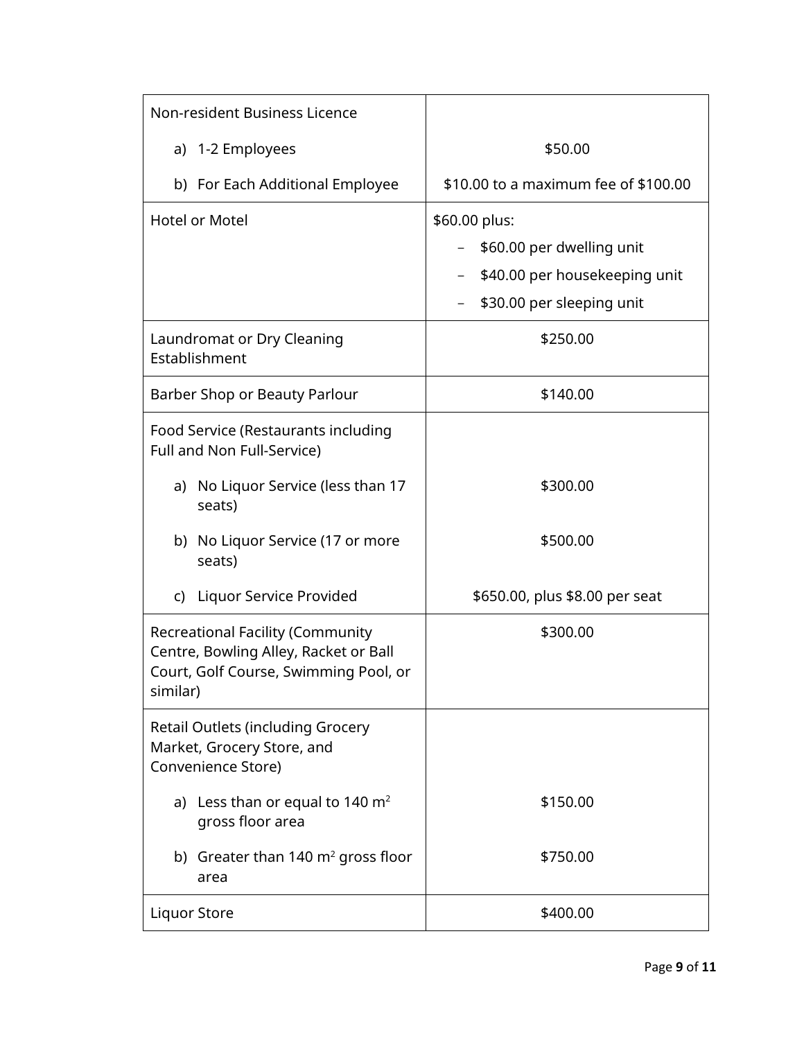| Non-resident Business Licence                                                                                                         |                                      |  |
|---------------------------------------------------------------------------------------------------------------------------------------|--------------------------------------|--|
| a) 1-2 Employees                                                                                                                      | \$50.00                              |  |
| b) For Each Additional Employee                                                                                                       | \$10.00 to a maximum fee of \$100.00 |  |
| <b>Hotel or Motel</b>                                                                                                                 | \$60.00 plus:                        |  |
|                                                                                                                                       | \$60.00 per dwelling unit            |  |
|                                                                                                                                       | \$40.00 per housekeeping unit        |  |
|                                                                                                                                       | \$30.00 per sleeping unit            |  |
| Laundromat or Dry Cleaning<br>Establishment                                                                                           | \$250.00                             |  |
| Barber Shop or Beauty Parlour                                                                                                         | \$140.00                             |  |
| Food Service (Restaurants including<br>Full and Non Full-Service)                                                                     |                                      |  |
| a) No Liquor Service (less than 17<br>seats)                                                                                          | \$300.00                             |  |
| b) No Liquor Service (17 or more<br>seats)                                                                                            | \$500.00                             |  |
| c) Liquor Service Provided                                                                                                            | \$650.00, plus \$8.00 per seat       |  |
| <b>Recreational Facility (Community</b><br>Centre, Bowling Alley, Racket or Ball<br>Court, Golf Course, Swimming Pool, or<br>similar) | \$300.00                             |  |
| <b>Retail Outlets (including Grocery</b><br>Market, Grocery Store, and<br>Convenience Store)                                          |                                      |  |
| a) Less than or equal to 140 $\mathrm{m}^2$<br>gross floor area                                                                       | \$150.00                             |  |
| b) Greater than $140 \text{ m}^2$ gross floor<br>area                                                                                 | \$750.00                             |  |
| <b>Liquor Store</b>                                                                                                                   | \$400.00                             |  |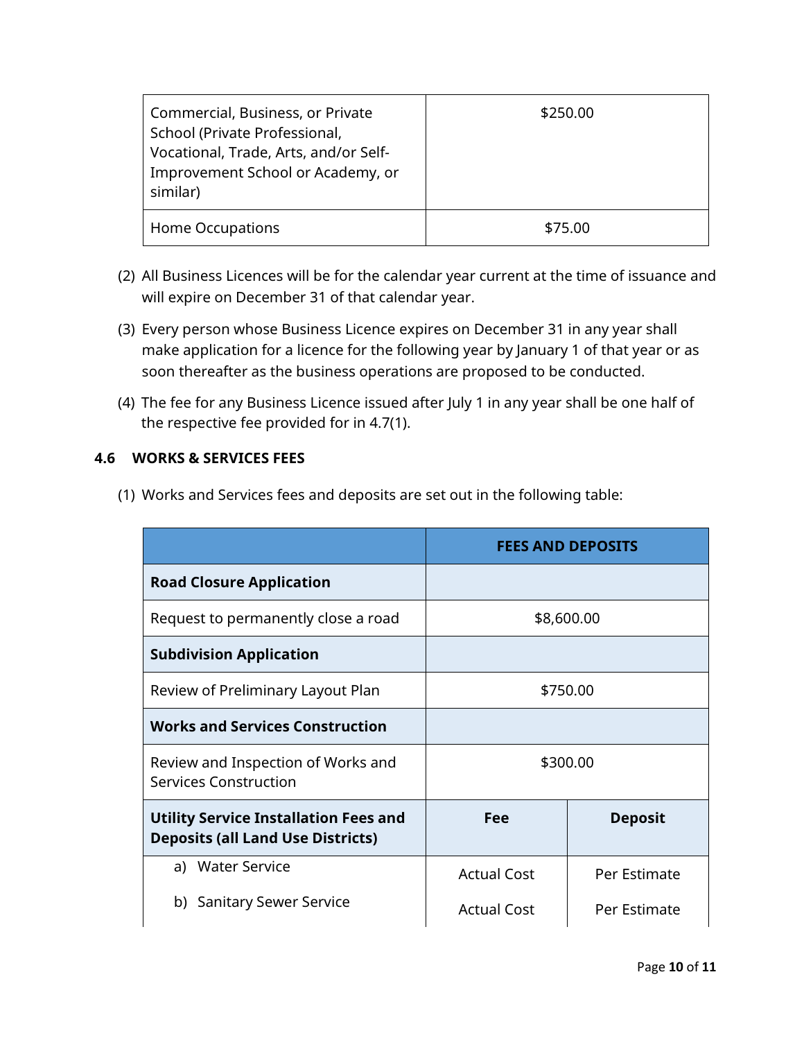| Commercial, Business, or Private<br>School (Private Professional,<br>Vocational, Trade, Arts, and/or Self-<br>Improvement School or Academy, or<br>similar) | \$250.00 |
|-------------------------------------------------------------------------------------------------------------------------------------------------------------|----------|
| Home Occupations                                                                                                                                            | \$75.00  |

- (2) All Business Licences will be for the calendar year current at the time of issuance and will expire on December 31 of that calendar year.
- (3) Every person whose Business Licence expires on December 31 in any year shall make application for a licence for the following year by January 1 of that year or as soon thereafter as the business operations are proposed to be conducted.
- (4) The fee for any Business Licence issued after July 1 in any year shall be one half of the respective fee provided for in 4.7(1).

## <span id="page-9-0"></span>**4.6 WORKS & SERVICES FEES**

(1) Works and Services fees and deposits are set out in the following table:

|                                                                                          | <b>FEES AND DEPOSITS</b> |                |
|------------------------------------------------------------------------------------------|--------------------------|----------------|
| <b>Road Closure Application</b>                                                          |                          |                |
| Request to permanently close a road                                                      | \$8,600.00               |                |
| <b>Subdivision Application</b>                                                           |                          |                |
| Review of Preliminary Layout Plan                                                        | \$750.00                 |                |
| <b>Works and Services Construction</b>                                                   |                          |                |
| Review and Inspection of Works and<br><b>Services Construction</b>                       | \$300.00                 |                |
| <b>Utility Service Installation Fees and</b><br><b>Deposits (all Land Use Districts)</b> | Fee                      | <b>Deposit</b> |
| a) Water Service                                                                         | <b>Actual Cost</b>       | Per Estimate   |
| <b>Sanitary Sewer Service</b><br>b)                                                      | <b>Actual Cost</b>       | Per Estimate   |